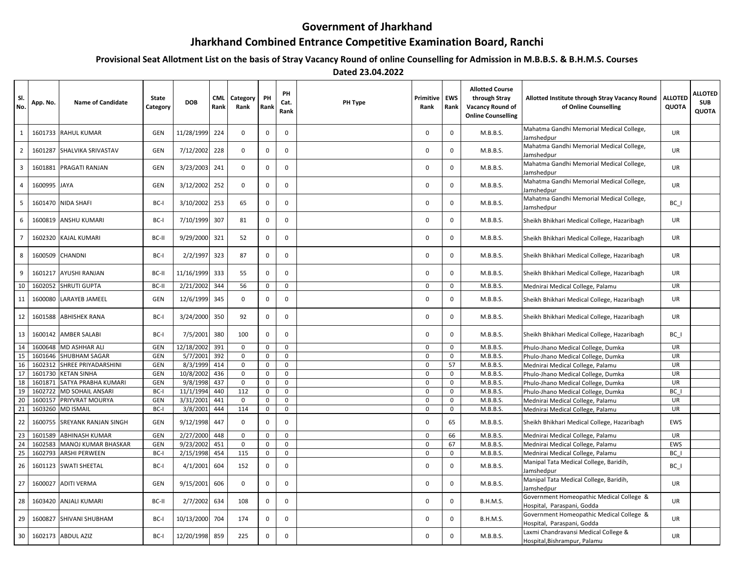## **Government of Jharkhand**

## **Jharkhand Combined Entrance Competitive Examination Board, Ranchi**

**Provisional Seat Allotment List on the basis of Stray Vacancy Round of online Counselling for Admission in M.B.B.S. & B.H.M.S. Courses**

 **Dated 23.04.2022**

| SI.<br>No.     | App. No. | <b>Name of Candidate</b>    | State<br>Category | <b>DOB</b> | CML<br>Rank | Category<br>Rank | PH<br>Rank   | PH<br>Cat.<br>Rank | PH Type | Primitive<br>Rank | EWS<br>Rank | <b>Allotted Course</b><br>through Stray<br>Vacancy Round of<br><b>Online Counselling</b> | Allotted Institute through Stray Vacancy Round<br>of Online Counselling | <b>ALLOTED</b><br><b>QUOTA</b> | <b>ALLOTED</b><br><b>SUB</b><br><b>QUOTA</b> |
|----------------|----------|-----------------------------|-------------------|------------|-------------|------------------|--------------|--------------------|---------|-------------------|-------------|------------------------------------------------------------------------------------------|-------------------------------------------------------------------------|--------------------------------|----------------------------------------------|
| $\mathbf{1}$   | 1601733  | <b>RAHUL KUMAR</b>          | GEN               | 11/28/1999 | 224         | $\mathbf 0$      | $\mathbf 0$  | $\mathbf 0$        |         | $\Omega$          | $\mathbf 0$ | M.B.B.S.                                                                                 | Mahatma Gandhi Memorial Medical College,<br>Jamshedpur                  | <b>UR</b>                      |                                              |
| $\overline{2}$ | 1601287  | SHALVIKA SRIVASTAV          | GEN               | 7/12/2002  | 228         | $\mathbf 0$      | 0            | $\mathbf 0$        |         | $\Omega$          | $\mathbf 0$ | M.B.B.S.                                                                                 | Mahatma Gandhi Memorial Medical College,<br>Jamshedpur                  | <b>UR</b>                      |                                              |
| $\overline{3}$ | 1601881  | <b>PRAGATI RANJAN</b>       | GEN               | 3/23/2003  | 241         | $\mathbf 0$      | $\mathbf 0$  | $\Omega$           |         | 0                 | $\mathbf 0$ | M.B.B.S.                                                                                 | Mahatma Gandhi Memorial Medical College,<br>Jamshedpur                  | <b>UR</b>                      |                                              |
| $\overline{4}$ | 1600995  | <b>JAYA</b>                 | <b>GEN</b>        | 3/12/2002  | 252         | $\mathbf 0$      | $\mathbf 0$  | $\mathbf 0$        |         | $\Omega$          | $\mathbf 0$ | M.B.B.S.                                                                                 | Mahatma Gandhi Memorial Medical College,<br>Jamshedpur                  | <b>UR</b>                      |                                              |
| 5              | 1601470  | <b>NIDA SHAFI</b>           | BC-I              | 3/10/2002  | 253         | 65               | 0            | 0                  |         | $\Omega$          | $\mathbf 0$ | M.B.B.S.                                                                                 | Mahatma Gandhi Memorial Medical College,<br>Jamshedpur                  | BC I                           |                                              |
| 6              | 1600819  | <b>ANSHU KUMARI</b>         | BC-I              | 7/10/1999  | 307         | 81               | 0            | $\mathbf 0$        |         | $\Omega$          | $\mathsf 0$ | M.B.B.S.                                                                                 | Sheikh Bhikhari Medical College, Hazaribagh                             | UR                             |                                              |
| $\overline{7}$ | 1602320  | <b>KAJAL KUMARI</b>         | BC-II             | 9/29/2000  | 321         | 52               | $\mathbf 0$  | $\mathbf 0$        |         | $\Omega$          | $\mathbf 0$ | M.B.B.S.                                                                                 | Sheikh Bhikhari Medical College, Hazaribagh                             | UR                             |                                              |
| 8              | 1600509  | <b>CHANDNI</b>              | BC-I              | 2/2/1997   | 323         | 87               | $\mathbf 0$  | $\mathbf 0$        |         | $\Omega$          | $\mathbf 0$ | M.B.B.S.                                                                                 | Sheikh Bhikhari Medical College, Hazaribagh                             | UR                             |                                              |
| 9              | 1601217  | <b>AYUSHI RANJAN</b>        | BC-II             | 11/16/1999 | 333         | 55               | $\mathbf 0$  | $\mathbf 0$        |         | $\Omega$          | $\mathbf 0$ | M.B.B.S.                                                                                 | Sheikh Bhikhari Medical College, Hazaribagh                             | <b>UR</b>                      |                                              |
| 10             | 1602052  | <b>SHRUTI GUPTA</b>         | BC-II             | 2/21/2002  | 344         | 56               | $\mathbf 0$  | $\mathbf 0$        |         | $\mathbf 0$       | $\mathbf 0$ | M.B.B.S.                                                                                 | Mednirai Medical College, Palamu                                        | UR                             |                                              |
| 11             | 1600080  | <b>LARAYEB JAMEEL</b>       | <b>GEN</b>        | 12/6/1999  | 345         | $\mathbf 0$      | 0            | 0                  |         | $\Omega$          | $\mathbf 0$ | M.B.B.S.                                                                                 | Sheikh Bhikhari Medical College, Hazaribagh                             | UR                             |                                              |
| 12             | 1601588  | <b>ABHISHEK RANA</b>        | BC-I              | 3/24/2000  | 350         | 92               | $\mathbf 0$  | $\mathbf 0$        |         | $\Omega$          | $\mathbf 0$ | M.B.B.S.                                                                                 | Sheikh Bhikhari Medical College, Hazaribagh                             | UR                             |                                              |
| 13             | 1600142  | <b>AMBER SALABI</b>         | BC-I              | 7/5/2001   | 380         | 100              | $\mathbf 0$  | 0                  |         | $\Omega$          | 0           | M.B.B.S.                                                                                 | Sheikh Bhikhari Medical College, Hazaribagh                             | $BC_$                          |                                              |
| 14             | 1600648  | <b>MD ASHHAR ALI</b>        | GEN               | 12/18/2002 | 391         | $\mathbf 0$      | 0            | $\mathbf 0$        |         | $\Omega$          | $\Omega$    | M.B.B.S.                                                                                 | Phulo-Jhano Medical College, Dumka                                      | <b>UR</b>                      |                                              |
| 15             | 1601646  | <b>SHUBHAM SAGAR</b>        | GEN               | 5/7/2001   | 392         | $\mathsf 0$      | $\mathsf 0$  | $\mathbf 0$        |         | $\mathbf 0$       | $\mathbf 0$ | M.B.B.S.                                                                                 | Phulo-Jhano Medical College, Dumka                                      | UR                             |                                              |
| 16             | 1602312  | SHREE PRIYADARSHINI         | GEN               | 8/3/1999   | 414         | $\mathbf 0$      | $\mathsf 0$  | $\mathbf 0$        |         | $\mathsf 0$       | 57          | M.B.B.S.                                                                                 | Mednirai Medical College, Palamu                                        | UR                             |                                              |
| 17             | 1601730  | <b>KETAN SINHA</b>          | GEN               | 10/8/2002  | 436         | $\mathbf 0$      | $\mathbf 0$  | $\mathbf 0$        |         | $\mathbf{0}$      | $\mathbf 0$ | M.B.B.S.                                                                                 | Phulo-Jhano Medical College, Dumka                                      | UR                             |                                              |
| 18             | 1601871  | SATYA PRABHA KUMARI         | GEN               | 9/8/1998   | 437         | $\mathbf 0$      | 0            | $\mathsf{O}$       |         | 0                 | 0           | M.B.B.S.                                                                                 | Phulo-Jhano Medical College, Dumka                                      | UR                             |                                              |
| 19             | 1602722  | <b>MD SOHAIL ANSARI</b>     | BC-I              | 11/1/1994  | 440         | 112              | $\mathsf 0$  | $\mathbf 0$        |         | $\Omega$          | $\mathbf 0$ | M.B.B.S.                                                                                 | Phulo-Jhano Medical College, Dumka                                      | BC                             |                                              |
| 20             | 1600157  | PRIYVRAT MOURYA             | <b>GEN</b>        | 3/31/2001  | 441         | $\mathbf 0$      | $\mathbf 0$  | $\mathbf 0$        |         | $\Omega$          | $\mathbf 0$ | M.B.B.S.                                                                                 | Mednirai Medical College, Palamu                                        | UR                             |                                              |
| 21             | 1603260  | <b>MD ISMAIL</b>            | BC-I              | 3/8/2001   | 444         | 114              | $\mathsf 0$  | $\mathsf 0$        |         | $\Omega$          | 0           | M.B.B.S.                                                                                 | Mednirai Medical College, Palamu                                        | UR                             |                                              |
| 22             | 1600755  | <b>SREYANK RANJAN SINGH</b> | GEN               | 9/12/1998  | 447         | $\mathsf 0$      | $\mathbf 0$  | $\mathbf 0$        |         | $\Omega$          | 65          | M.B.B.S.                                                                                 | Sheikh Bhikhari Medical College, Hazaribagh                             | EWS                            |                                              |
| 23             | 1601589  | <b>ABHINASH KUMAR</b>       | GEN               | 2/27/2000  | 448         | $\mathbf 0$      | $\mathbf 0$  | $\mathbf 0$        |         | $\mathbf 0$       | 66          | M.B.B.S.                                                                                 | Mednirai Medical College, Palamu                                        | UR                             |                                              |
| 24             | 1602583  | <b>MANOJ KUMAR BHASKAR</b>  | GEN               | 9/23/2002  | 451         | $\mathbf 0$      | 0            | $\mathbf{0}$       |         | $\mathbf 0$       | 67          | M.B.B.S.                                                                                 | Mednirai Medical College, Palamu                                        | EWS                            |                                              |
| 25             | 1602793  | <b>ARSHI PERWEEN</b>        | BC-I              | 2/15/1998  | 454         | 115              | $\mathsf{O}$ | $\mathbf 0$        |         | $\mathbf 0$       | 0           | M.B.B.S.                                                                                 | Mednirai Medical College, Palamu                                        | BC I                           |                                              |
| 26             | 1601123  | <b>SWATI SHEETAL</b>        | BC-I              | 4/1/2001   | 604         | 152              | $\mathbf 0$  | $\mathbf 0$        |         | $\mathbf 0$       | 0           | M.B.B.S.                                                                                 | Manipal Tata Medical College, Baridih,<br>Jamshedpur                    | BC I                           |                                              |
| 27             | 1600027  | <b>ADITI VERMA</b>          | GEN               | 9/15/2001  | 606         | $\mathsf 0$      | $\mathbf 0$  | 0                  |         | $\Omega$          | 0           | M.B.B.S.                                                                                 | Manipal Tata Medical College, Baridih,<br>Jamshedpur                    | UR                             |                                              |
| 28             | 1603420  | <b>ANJALI KUMARI</b>        | BC-II             | 2/7/2002   | 634         | 108              | 0            | $\mathbf 0$        |         | $\Omega$          | $\mathbf 0$ | <b>B.H.M.S.</b>                                                                          | Government Homeopathic Medical College &<br>Hospital, Paraspani, Godda  | <b>UR</b>                      |                                              |
| 29             | 1600827  | SHIVANI SHUBHAM             | BC-I              | 10/13/2000 | 704         | 174              | 0            | $\mathbf 0$        |         | $\Omega$          | $\mathbf 0$ | <b>B.H.M.S.</b>                                                                          | Government Homeopathic Medical College &<br>Hospital, Paraspani, Godda  | <b>UR</b>                      |                                              |
| 30             |          | 1602173 ABDUL AZIZ          | BC-I              | 12/20/1998 | 859         | 225              | 0            | $\mathbf 0$        |         | 0                 | $\mathbf 0$ | M.B.B.S.                                                                                 | Laxmi Chandravansi Medical College &<br>Hospital, Bishrampur, Palamu    | UR                             |                                              |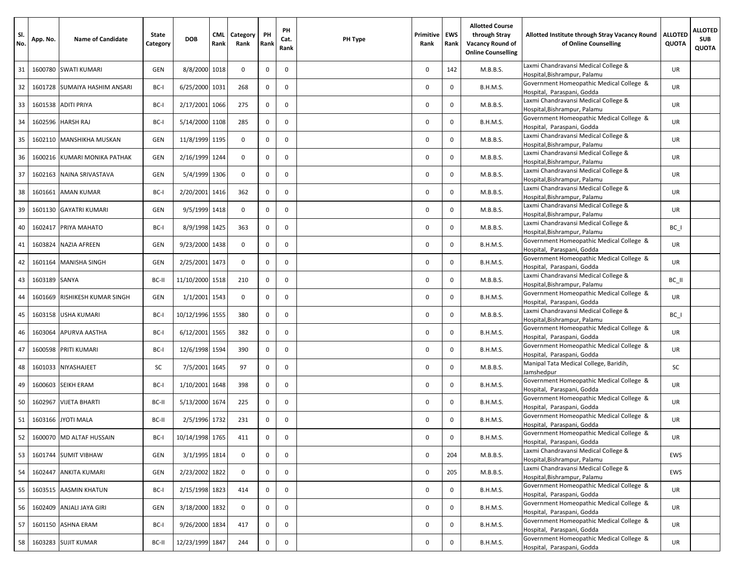| SI.<br>No. | App. No.      | <b>Name of Candidate</b>        | State<br>Category | <b>DOB</b>      | <b>CML</b><br>Rank | Category<br>Rank | PH<br>Rank  | PH<br>Cat.<br>Rank | PH Type | Primitive<br>Rank | EWS<br>Rank | <b>Allotted Course</b><br>through Strav<br>Vacancy Round of<br><b>Online Counselling</b> | Allotted Institute through Stray Vacancy Round<br>of Online Counselling | <b>ALLOTED</b><br><b>QUOTA</b> | <b>ALLOTED</b><br><b>SUB</b><br><b>QUOTA</b> |
|------------|---------------|---------------------------------|-------------------|-----------------|--------------------|------------------|-------------|--------------------|---------|-------------------|-------------|------------------------------------------------------------------------------------------|-------------------------------------------------------------------------|--------------------------------|----------------------------------------------|
| 31         | 1600780       | <b>SWATI KUMARI</b>             | GEN               | 8/8/2000 1018   |                    | $\mathbf 0$      | 0           | $\mathbf 0$        |         | $\mathbf{0}$      | 142         | M.B.B.S.                                                                                 | Laxmi Chandravansi Medical College &<br>Hospital, Bishrampur, Palamu    | <b>UR</b>                      |                                              |
| 32         | 1601728       | SUMAIYA HASHIM ANSARI           | BC-I              | 6/25/2000 1031  |                    | 268              | 0           | 0                  |         | 0                 | $\mathbf 0$ | <b>B.H.M.S.</b>                                                                          | Government Homeopathic Medical College &<br>Hospital, Paraspani, Godda  | UR                             |                                              |
| 33         |               | 1601538 ADITI PRIYA             | BC-I              | 2/17/2001       | 1066               | 275              | 0           | $\Omega$           |         | $\mathbf{0}$      | $\mathbf 0$ | M.B.B.S.                                                                                 | Laxmi Chandravansi Medical College &<br>Hospital, Bishrampur, Palamu    | UR                             |                                              |
| 34         | 1602596       | <b>HARSH RAJ</b>                | BC-I              | 5/14/2000 1108  |                    | 285              | 0           | $\mathbf 0$        |         | $\mathbf{0}$      | 0           | <b>B.H.M.S.</b>                                                                          | Government Homeopathic Medical College &<br>Hospital, Paraspani, Godda  | UR                             |                                              |
| 35         | 1602110       | MANSHIKHA MUSKAN                | GEN               | 11/8/1999 1195  |                    | $\mathbf 0$      | 0           | $\Omega$           |         | 0                 | $\mathbf 0$ | M.B.B.S.                                                                                 | Laxmi Chandravansi Medical College &<br>Hospital, Bishrampur, Palamu    | UR                             |                                              |
| 36         |               | 1600216 KUMARI MONIKA PATHAK    | GEN               | 2/16/1999 1244  |                    | $\mathbf 0$      | $\mathbf 0$ | $\mathbf 0$        |         | $\mathbf 0$       | $\mathbf 0$ | M.B.B.S.                                                                                 | Laxmi Chandravansi Medical College &<br>Hospital, Bishrampur, Palamu    | UR                             |                                              |
| 37         | 1602163       | NAINA SRIVASTAVA                | <b>GEN</b>        | 5/4/1999 1306   |                    | $\mathbf 0$      | 0           | $\Omega$           |         | 0                 | $\mathbf 0$ | M.B.B.S.                                                                                 | Laxmi Chandravansi Medical College &<br>Hospital, Bishrampur, Palamu    | UR                             |                                              |
| 38         | 1601661       | <b>AMAN KUMAR</b>               | BC-I              | 2/20/2001       | 1416               | 362              | 0           | $\mathbf 0$        |         | $\mathbf{0}$      | $\mathsf 0$ | M.B.B.S.                                                                                 | Laxmi Chandravansi Medical College &<br>Hospital, Bishrampur, Palamu    | UR                             |                                              |
| 39         | 1601130       | <b>GAYATRI KUMARI</b>           | <b>GEN</b>        | 9/5/1999 1418   |                    | $\mathbf 0$      | 0           | 0                  |         | $\mathbf 0$       | $\mathbf 0$ | M.B.B.S.                                                                                 | Laxmi Chandravansi Medical College &<br>Hospital, Bishrampur, Palamu    | UR                             |                                              |
| 40         | 1602417       | <b>PRIYA MAHATO</b>             | BC-I              | 8/9/1998 1425   |                    | 363              | $\mathbf 0$ | $\mathbf 0$        |         | $\mathbf{0}$      | $\mathbf 0$ | M.B.B.S.                                                                                 | Laxmi Chandravansi Medical College &<br>Hospital, Bishrampur, Palamu    | $BC_$                          |                                              |
| 41         | 1603824       | <b>NAZIA AFREEN</b>             | GEN               | 9/23/2000 1438  |                    | $\mathbf 0$      | 0           | 0                  |         | $\mathbf{0}$      | 0           | <b>B.H.M.S.</b>                                                                          | Government Homeopathic Medical College &<br>Hospital, Paraspani, Godda  | UR                             |                                              |
| 42         | 1601164       | <b>MANISHA SINGH</b>            | <b>GEN</b>        | 2/25/2001       | 1473               | $\mathbf 0$      | $\mathbf 0$ | $\Omega$           |         | $\mathbf{0}$      | $\mathbf 0$ | <b>B.H.M.S.</b>                                                                          | Government Homeopathic Medical College &<br>Hospital, Paraspani, Godda  | UR                             |                                              |
| 43         | 1603189 SANYA |                                 | BC-II             | 11/10/2000 1518 |                    | 210              | $\mathbf 0$ | $\Omega$           |         | $\mathbf{0}$      | $\mathbf 0$ | M.B.B.S.                                                                                 | Laxmi Chandravansi Medical College &<br>Hospital.Bishrampur. Palamu     | BC_II                          |                                              |
| 44         | 1601669       | RISHIKESH KUMAR SINGH           | <b>GEN</b>        | 1/1/2001 1543   |                    | $\mathbf 0$      | 0           | $\Omega$           |         | 0                 | $\mathbf 0$ | B.H.M.S.                                                                                 | Government Homeopathic Medical College &<br>Hospital, Paraspani, Godda  | UR                             |                                              |
| 45         | 1603158       | <b>USHA KUMARI</b>              | BC-I              | 10/12/1996 1555 |                    | 380              | 0           | $\mathbf 0$        |         | $\mathbf{0}$      | $\mathsf 0$ | M.B.B.S.                                                                                 | Laxmi Chandravansi Medical College &<br>Hospital, Bishrampur, Palamu    | $BC_$                          |                                              |
| 46         | 1603064       | <b>APURVA AASTHA</b>            | BC-I              | 6/12/2001 1565  |                    | 382              | 0           | 0                  |         | $\mathbf 0$       | $\mathbf 0$ | <b>B.H.M.S.</b>                                                                          | Government Homeopathic Medical College &<br>Hospital, Paraspani, Godda  | UR                             |                                              |
| 47         | 1600598       | <b>PRITI KUMARI</b>             | BC-I              | 12/6/1998 1594  |                    | 390              | 0           | 0                  |         | $\mathbf{0}$      | $\mathbf 0$ | B.H.M.S.                                                                                 | Government Homeopathic Medical College &<br>Hospital, Paraspani, Godda  | UR                             |                                              |
| 48         | 1601033       | NIYASHAJEET                     | SC                | 7/5/2001        | 1645               | 97               | 0           | 0                  |         | 0                 | 0           | M.B.B.S.                                                                                 | Manipal Tata Medical College, Baridih,<br>Jamshedpur                    | SC                             |                                              |
| 49         | 1600603       | <b>SEIKH ERAM</b>               | BC-I              | 1/10/2001       | 1648               | 398              | $\mathbf 0$ | $\Omega$           |         | $\mathbf{0}$      | $\mathbf 0$ | <b>B.H.M.S.</b>                                                                          | Government Homeopathic Medical College &<br>Hospital, Paraspani, Godda  | UR                             |                                              |
| 50         | 1602967       | <b>VIJETA BHARTI</b>            | BC-II             | 5/13/2000 1674  |                    | 225              | $\mathbf 0$ | $\mathbf 0$        |         | $\mathbf{0}$      | $\mathbf 0$ | <b>B.H.M.S.</b>                                                                          | Government Homeopathic Medical College &<br>Hospital, Paraspani, Godda  | UR                             |                                              |
| 51         | 1603166       | <b>JYOTI MALA</b>               | BC-II             | 2/5/1996 1732   |                    | 231              | 0           | $\Omega$           |         | 0                 | 0           | <b>B.H.M.S.</b>                                                                          | Government Homeopathic Medical College &<br>Hospital, Paraspani, Godda  | UR                             |                                              |
|            |               | 52   1600070   MD ALTAF HUSSAIN | BC-I              | 10/14/1998 1765 |                    | 411              | 0           | $\mathbf 0$        |         | $\mathbf 0$       | $\mathbf 0$ | <b>B.H.M.S.</b>                                                                          | Government Homeopathic Medical College &<br>Hospital, Paraspani, Godda  | UR                             |                                              |
|            |               | 53 1601744 SUMIT VIBHAW         | <b>GEN</b>        | 3/1/1995 1814   |                    | $\mathbf 0$      | 0           | 0                  |         | $\mathbf{0}$      | 204         | M.B.B.S.                                                                                 | Laxmi Chandravansi Medical College &<br>Hospital, Bishrampur, Palamu    | EWS                            |                                              |
| 54         |               | 1602447 ANKITA KUMARI           | <b>GEN</b>        | 2/23/2002 1822  |                    | $\mathbf 0$      | $\mathbf 0$ | 0                  |         | $\mathbf 0$       | 205         | M.B.B.S.                                                                                 | Laxmi Chandravansi Medical College &<br>Hospital, Bishrampur, Palamu    | EWS                            |                                              |
| 55         |               | 1603515 AASMIN KHATUN           | BC-I              | 2/15/1998 1823  |                    | 414              | 0           | 0                  |         | $\mathbf 0$       | $\mathbf 0$ | <b>B.H.M.S.</b>                                                                          | Government Homeopathic Medical College &<br>Hospital, Paraspani, Godda  | UR                             |                                              |
| 56         |               | 1602409 ANJALI JAYA GIRI        | <b>GEN</b>        | 3/18/2000 1832  |                    | $\mathbf 0$      | $\mathbf 0$ | 0                  |         | $\mathbf 0$       | $\mathsf 0$ | B.H.M.S.                                                                                 | Government Homeopathic Medical College &<br>Hospital, Paraspani, Godda  | UR                             |                                              |
| 57         |               | 1601150 ASHNA ERAM              | BC-I              | 9/26/2000 1834  |                    | 417              | $\mathbf 0$ | $\mathbf 0$        |         | $\mathbf 0$       | $\mathbf 0$ | <b>B.H.M.S.</b>                                                                          | Government Homeopathic Medical College &<br>Hospital, Paraspani, Godda  | UR                             |                                              |
| 58         |               | 1603283 SUJIT KUMAR             | BC-II             | 12/23/1999 1847 |                    | 244              | 0           | 0                  |         | 0                 | 0           | <b>B.H.M.S.</b>                                                                          | Government Homeopathic Medical College &<br>Hospital, Paraspani, Godda  | UR                             |                                              |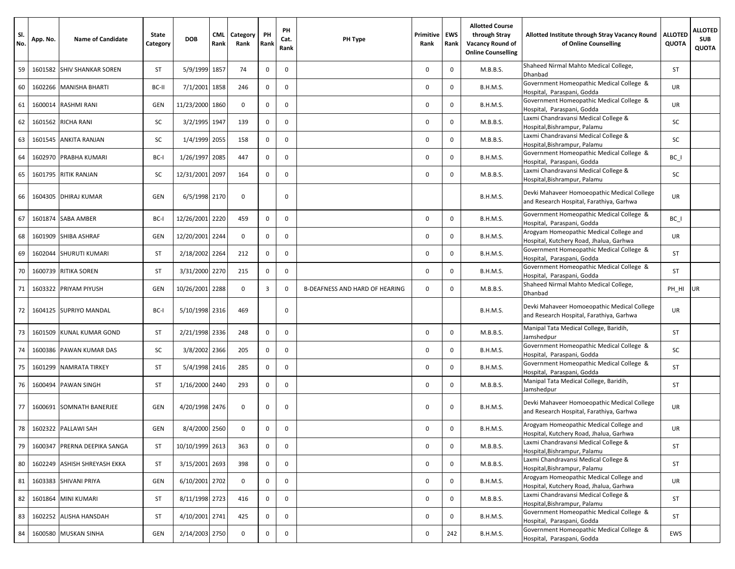| SI.<br>No. | App. No. | <b>Name of Candidate</b>  | State<br>Category | <b>DOB</b>      | <b>CML</b><br>Rank | <b>Category</b><br>Rank | PH<br>Rank   | PH<br>Cat.<br>Rank | PH Type                        | Primitive<br>Rank | <b>EWS</b><br>Rank | <b>Allotted Course</b><br>through Stray<br>Vacancy Round of<br><b>Online Counselling</b> | Allotted Institute through Stray Vacancy Round<br>of Online Counselling                 | <b>ALLOTED</b><br><b>QUOTA</b> | <b>ALLOTED</b><br><b>SUB</b><br><b>QUOTA</b> |
|------------|----------|---------------------------|-------------------|-----------------|--------------------|-------------------------|--------------|--------------------|--------------------------------|-------------------|--------------------|------------------------------------------------------------------------------------------|-----------------------------------------------------------------------------------------|--------------------------------|----------------------------------------------|
| 59         | 1601582  | <b>SHIV SHANKAR SOREN</b> | <b>ST</b>         | 5/9/1999 1857   |                    | 74                      | $\mathbf 0$  | $\mathbf 0$        |                                | $\mathbf{0}$      | $\mathbf 0$        | M.B.B.S.                                                                                 | Shaheed Nirmal Mahto Medical College,<br>Dhanbad                                        | <b>ST</b>                      |                                              |
| 60         | 1602266  | <b>MANISHA BHARTI</b>     | BC-II             | 7/1/2001        | 1858               | 246                     | 0            | $\mathbf 0$        |                                | 0                 | 0                  | <b>B.H.M.S.</b>                                                                          | Government Homeopathic Medical College &<br>Hospital, Paraspani, Godda                  | UR                             |                                              |
| 61         | 1600014  | <b>RASHMI RANI</b>        | GEN               | 11/23/2000      | 1860               | $\mathbf 0$             | $\mathbf 0$  | $\mathsf 0$        |                                | $\mathbf{0}$      | $\mathbf 0$        | <b>B.H.M.S.</b>                                                                          | Government Homeopathic Medical College &<br>Hospital, Paraspani, Godda                  | UR                             |                                              |
| 62         | 1601562  | <b>RICHA RANI</b>         | SC                | 3/2/1995 1947   |                    | 139                     | 0            | $\mathbf 0$        |                                | $\mathbf{0}$      | $\mathbf 0$        | M.B.B.S.                                                                                 | Laxmi Chandravansi Medical College &<br>Hospital, Bishrampur, Palamu                    | SC                             |                                              |
| 63         | 1601545  | <b>ANKITA RANJAN</b>      | SC                | 1/4/1999 2055   |                    | 158                     | 0            | $\mathsf 0$        |                                | $\mathbf 0$       | $\mathbf 0$        | M.B.B.S.                                                                                 | Laxmi Chandravansi Medical College &<br>Hospital, Bishrampur, Palamu                    | SC                             |                                              |
| 64         | 1602970  | <b>PRABHA KUMARI</b>      | BC-I              | 1/26/1997 2085  |                    | 447                     | $\mathbf 0$  | $\mathsf 0$        |                                | $\mathbf 0$       | 0                  | <b>B.H.M.S.</b>                                                                          | Government Homeopathic Medical College &<br>Hospital, Paraspani, Godda                  | $BC_$                          |                                              |
| 65         | 1601795  | <b>RITIK RANJAN</b>       | SC                | 12/31/2001 2097 |                    | 164                     | $\mathbf 0$  | $\mathbf 0$        |                                | 0                 | 0                  | M.B.B.S.                                                                                 | Laxmi Chandravansi Medical College &<br>Hospital, Bishrampur, Palamu                    | SC                             |                                              |
| 66         | 1604305  | <b>DHIRAJ KUMAR</b>       | GEN               | 6/5/1998 2170   |                    | $^{\circ}$              |              | $\mathbf 0$        |                                |                   |                    | <b>B.H.M.S.</b>                                                                          | Devki Mahaveer Homoeopathic Medical College<br>and Research Hospital, Farathiya, Garhwa | UR                             |                                              |
| 67         | 1601874  | SABA AMBER                | BC-I              | 12/26/2001 2220 |                    | 459                     | $\mathbf 0$  | $\mathsf 0$        |                                | $\mathbf 0$       | 0                  | <b>B.H.M.S.</b>                                                                          | Government Homeopathic Medical College &<br>Hospital, Paraspani, Godda                  | $BC_$                          |                                              |
| 68         | 1601909  | <b>SHIBA ASHRAF</b>       | GEN               | 12/20/2001      | 2244               | $\mathbf 0$             | $\mathbf 0$  | $\mathbf 0$        |                                | $\Omega$          | $\mathbf 0$        | B.H.M.S.                                                                                 | Arogyam Homeopathic Medical College and<br>Hospital, Kutchery Road, Jhalua, Garhwa      | UR                             |                                              |
| 69         | 1602044  | <b>SHURUTI KUMARI</b>     | <b>ST</b>         | 2/18/2002 2264  |                    | 212                     | 0            | $\mathbf 0$        |                                | $\mathbf 0$       | 0                  | <b>B.H.M.S.</b>                                                                          | Government Homeopathic Medical College &<br>Hospital, Paraspani, Godda                  | ST                             |                                              |
| 70         | 1600739  | <b>RITIKA SOREN</b>       | <b>ST</b>         | 3/31/2000 2270  |                    | 215                     | 0            | $\mathbf 0$        |                                | $\mathbf{0}$      | 0                  | <b>B.H.M.S.</b>                                                                          | Government Homeopathic Medical College &<br>Hospital, Paraspani, Godda                  | ST                             |                                              |
| 71         | 1603322  | PRIYAM PIYUSH             | GEN               | 10/26/2001      | 2288               | $\mathbf 0$             | 3            | 0                  | B-DEAFNESS AND HARD OF HEARING | $\mathbf{0}$      | $\mathbf 0$        | M.B.B.S.                                                                                 | Shaheed Nirmal Mahto Medical College,<br>Dhanbad                                        | PH_HI                          | <b>UR</b>                                    |
| 72         | 1604125  | <b>SUPRIYO MANDAL</b>     | BC-I              | 5/10/1998 2316  |                    | 469                     |              | $\mathbf 0$        |                                |                   |                    | <b>B.H.M.S.</b>                                                                          | Devki Mahaveer Homoeopathic Medical College<br>and Research Hospital, Farathiya, Garhwa | UR                             |                                              |
| 73         | 1601509  | KUNAL KUMAR GOND          | ST                | 2/21/1998 2336  |                    | 248                     | 0            | $\mathbf 0$        |                                | $\mathbf 0$       | 0                  | M.B.B.S.                                                                                 | Manipal Tata Medical College, Baridih,<br>Jamshedpur                                    | ST                             |                                              |
| 74         | 1600386  | PAWAN KUMAR DAS           | SC                | 3/8/2002 2366   |                    | 205                     | 0            | $\mathsf 0$        |                                | $\mathbf{0}$      | $\mathbf 0$        | <b>B.H.M.S.</b>                                                                          | Government Homeopathic Medical College &<br>Hospital, Paraspani, Godda                  | SC                             |                                              |
| 75         | 1601299  | <b>NAMRATA TIRKEY</b>     | ST                | 5/4/1998 2416   |                    | 285                     | 0            | $\mathbf 0$        |                                | $\mathbf{0}$      | 0                  | <b>B.H.M.S.</b>                                                                          | Government Homeopathic Medical College &<br>Hospital, Paraspani, Godda                  | ST                             |                                              |
| 76         | 1600494  | <b>PAWAN SINGH</b>        | ST                | 1/16/2000 2440  |                    | 293                     | 0            | $\mathsf 0$        |                                | $\mathbf 0$       | 0                  | M.B.B.S.                                                                                 | Manipal Tata Medical College, Baridih,<br>Jamshedpur                                    | ST                             |                                              |
| 77         |          | 1600691 SOMNATH BANERJEE  | GEN               | 4/20/1998 2476  |                    | $\mathbf 0$             | 0            | $\mathbf 0$        |                                | $\mathbf 0$       | 0                  | <b>B.H.M.S.</b>                                                                          | Devki Mahaveer Homoeopathic Medical College<br>and Research Hospital, Farathiya, Garhwa | UR                             |                                              |
| 78         |          | 1602322 PALLAWI SAH       | GEN               | 8/4/2000 2560   |                    | 0                       | 0            | $\mathbf 0$        |                                | $\mathbf 0$       | 0                  | <b>B.H.M.S.</b>                                                                          | Arogyam Homeopathic Medical College and<br>Hospital, Kutchery Road, Jhalua, Garhwa      | UR                             |                                              |
| 79         | 1600347  | PRERNA DEEPIKA SANGA      | ST                | 10/10/1999 2613 |                    | 363                     | 0            | $\mathbf 0$        |                                | $\mathsf 0$       | $\mathbf 0$        | M.B.B.S.                                                                                 | Laxmi Chandravansi Medical College &<br>Hospital, Bishrampur, Palamu                    | ST                             |                                              |
| 80         | 1602249  | ASHISH SHREYASH EKKA      | ST                | 3/15/2001 2693  |                    | 398                     | $\mathsf{O}$ | $\mathbf 0$        |                                | $\mathbf 0$       | 0                  | M.B.B.S.                                                                                 | Laxmi Chandravansi Medical College &<br>Hospital, Bishrampur, Palamu                    | ST                             |                                              |
| 81         | 1603383  | SHIVANI PRIYA             | GEN               | 6/10/2001 2702  |                    | $\mathbf 0$             | 0            | $\mathsf 0$        |                                | $\mathbf 0$       | $\mathbf 0$        | B.H.M.S.                                                                                 | Arogyam Homeopathic Medical College and<br>Hospital, Kutchery Road, Jhalua, Garhwa      | UR                             |                                              |
| 82         | 1601864  | <b>MINI KUMARI</b>        | ST                | 8/11/1998 2723  |                    | 416                     | 0            | $\mathsf 0$        |                                | $\mathbf 0$       | 0                  | M.B.B.S.                                                                                 | Laxmi Chandravansi Medical College &<br>Hospital, Bishrampur, Palamu                    | ST                             |                                              |
| 83         | 1602252  | ALISHA HANSDAH            | ST                | 4/10/2001 2741  |                    | 425                     | 0            | $\mathsf 0$        |                                | $\mathbf 0$       | 0                  | B.H.M.S.                                                                                 | Government Homeopathic Medical College &<br>Hospital, Paraspani, Godda                  | ST                             |                                              |
| 84         |          | 1600580 MUSKAN SINHA      | GEN               | 2/14/2003 2750  |                    | $\mathsf{O}$            | 0            | $\mathsf 0$        |                                | $\mathbf 0$       | 242                | B.H.M.S.                                                                                 | Government Homeopathic Medical College &<br>Hospital, Paraspani, Godda                  | EWS                            |                                              |